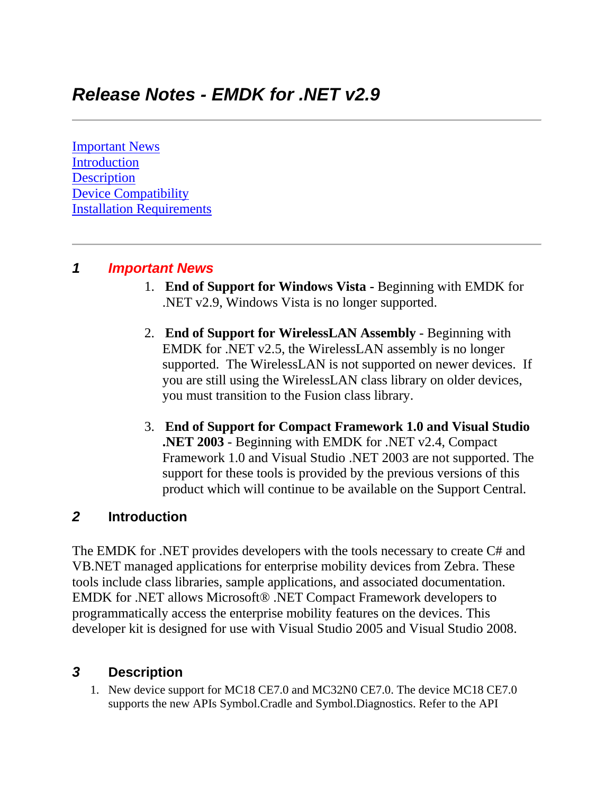[Important News](https://atgsupportcentral.motorolasolutions.com/content/emb/docs/ReleaseNotes/Release%20Notes%20-%20EMDK-M-020900.htm#Important_News) [Introduction](https://atgsupportcentral.motorolasolutions.com/content/emb/docs/ReleaseNotes/Release%20Notes%20-%20EMDK-M-020900.htm#Introduction) **[Description](https://atgsupportcentral.motorolasolutions.com/content/emb/docs/ReleaseNotes/Release%20Notes%20-%20EMDK-M-020900.htm#Description)** [Device Compatibility](https://atgsupportcentral.motorolasolutions.com/content/emb/docs/ReleaseNotes/Release%20Notes%20-%20EMDK-M-020900.htm#Compatibility_) [Installation Requirements](https://atgsupportcentral.motorolasolutions.com/content/emb/docs/ReleaseNotes/Release%20Notes%20-%20EMDK-M-020900.htm#Installation_Requirements)

# *1 Important News*

- 1. **End of Support for Windows Vista -** Beginning with EMDK for .NET v2.9, Windows Vista is no longer supported.
- 2. **End of Support for WirelessLAN Assembly** Beginning with EMDK for .NET v2.5, the WirelessLAN assembly is no longer supported. The WirelessLAN is not supported on newer devices. If you are still using the WirelessLAN class library on older devices, you must transition to the Fusion class library.
- 3. **End of Support for Compact Framework 1.0 and Visual Studio .NET 2003** - Beginning with EMDK for .NET v2.4, Compact Framework 1.0 and Visual Studio .NET 2003 are not supported. The support for these tools is provided by the previous versions of this product which will continue to be available on the Support Central.

# *2* **Introduction**

The EMDK for .NET provides developers with the tools necessary to create C# and VB.NET managed applications for enterprise mobility devices from Zebra. These tools include class libraries, sample applications, and associated documentation. EMDK for .NET allows Microsoft® .NET Compact Framework developers to programmatically access the enterprise mobility features on the devices. This developer kit is designed for use with Visual Studio 2005 and Visual Studio 2008.

# *3* **Description**

1. New device support for MC18 CE7.0 and MC32N0 CE7.0. The device MC18 CE7.0 supports the new APIs Symbol.Cradle and Symbol.Diagnostics. Refer to the API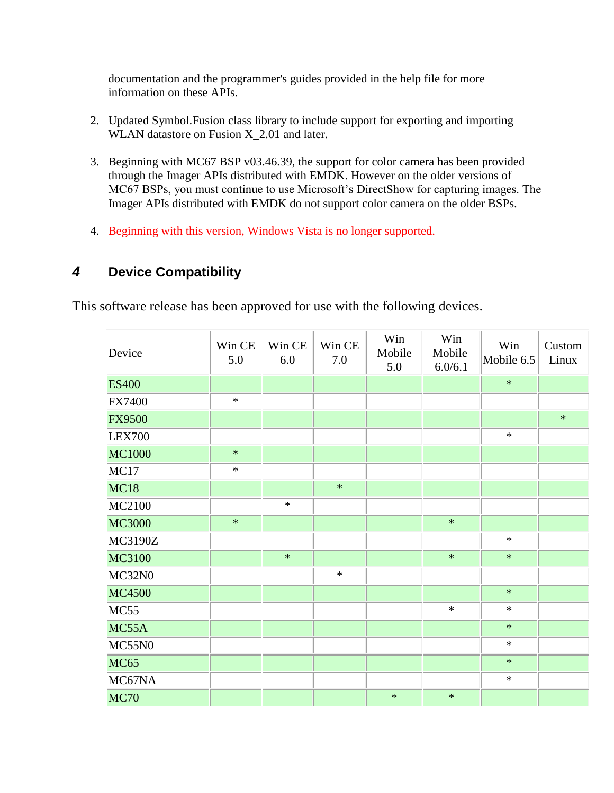documentation and the programmer's guides provided in the help file for more information on these APIs.

- 2. Updated Symbol.Fusion class library to include support for exporting and importing WLAN datastore on Fusion X 2.01 and later.
- 3. Beginning with MC67 BSP v03.46.39, the support for color camera has been provided through the Imager APIs distributed with EMDK. However on the older versions of MC67 BSPs, you must continue to use Microsoft's DirectShow for capturing images. The Imager APIs distributed with EMDK do not support color camera on the older BSPs.
- 4. Beginning with this version, Windows Vista is no longer supported.

# *4* **Device Compatibility**

This software release has been approved for use with the following devices.

| Device         | Win CE<br>5.0 | Win CE<br>6.0 | Win CE<br>7.0 | Win<br>Mobile<br>5.0 | Win<br>Mobile<br>6.0/6.1 | Win<br>Mobile 6.5 | Custom<br>Linux |
|----------------|---------------|---------------|---------------|----------------------|--------------------------|-------------------|-----------------|
| <b>ES400</b>   |               |               |               |                      |                          | $\ast$            |                 |
| <b>FX7400</b>  | $\ast$        |               |               |                      |                          |                   |                 |
| <b>FX9500</b>  |               |               |               |                      |                          |                   | $\ast$          |
| <b>LEX700</b>  |               |               |               |                      |                          | $\ast$            |                 |
| MC1000         | $\ast$        |               |               |                      |                          |                   |                 |
| MC17           | $\ast$        |               |               |                      |                          |                   |                 |
| MC18           |               |               | $\ast$        |                      |                          |                   |                 |
| MC2100         |               | $\ast$        |               |                      |                          |                   |                 |
| MC3000         | $\ast$        |               |               |                      | $\ast$                   |                   |                 |
| <b>MC3190Z</b> |               |               |               |                      |                          | $\ast$            |                 |
| MC3100         |               | $\ast$        |               |                      | $\ast$                   | $\ast$            |                 |
| MC32N0         |               |               | $\ast$        |                      |                          |                   |                 |
| <b>MC4500</b>  |               |               |               |                      |                          | $\ast$            |                 |
| MC55           |               |               |               |                      | $\ast$                   | $\ast$            |                 |
| MC55A          |               |               |               |                      |                          | $\ast$            |                 |
| <b>MC55N0</b>  |               |               |               |                      |                          | $\ast$            |                 |
| <b>MC65</b>    |               |               |               |                      |                          | $\ast$            |                 |
| MC67NA         |               |               |               |                      |                          | $\ast$            |                 |
| <b>MC70</b>    |               |               |               | $\ast$               | $\ast$                   |                   |                 |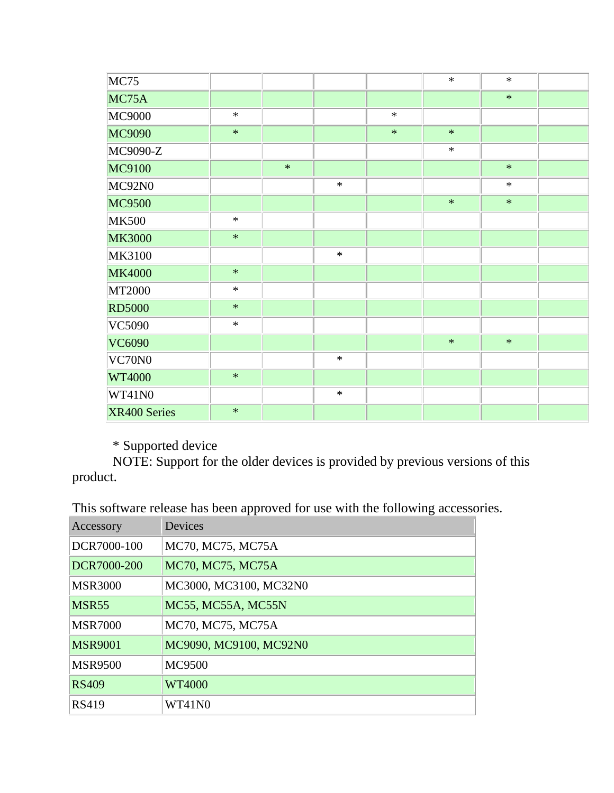| MC75          |        |        |        |        | $\ast$ | $\ast$ |  |
|---------------|--------|--------|--------|--------|--------|--------|--|
| MC75A         |        |        |        |        |        | $\ast$ |  |
| <b>MC9000</b> | $\ast$ |        |        | $\ast$ |        |        |  |
| MC9090        | $\ast$ |        |        | $\ast$ | $\ast$ |        |  |
| MC9090-Z      |        |        |        |        | $\ast$ |        |  |
| MC9100        |        | $\ast$ |        |        |        | $\ast$ |  |
| MC92N0        |        |        | $\ast$ |        |        | $\ast$ |  |
| <b>MC9500</b> |        |        |        |        | $\ast$ | $\ast$ |  |
| <b>MK500</b>  | $\ast$ |        |        |        |        |        |  |
| <b>MK3000</b> | $\ast$ |        |        |        |        |        |  |
| MK3100        |        |        | $\ast$ |        |        |        |  |
| <b>MK4000</b> | $\ast$ |        |        |        |        |        |  |
| MT2000        | $\ast$ |        |        |        |        |        |  |
| <b>RD5000</b> | $\ast$ |        |        |        |        |        |  |
| VC5090        | $\ast$ |        |        |        |        |        |  |
| <b>VC6090</b> |        |        |        |        | $\ast$ | $\ast$ |  |
| VC70N0        |        |        | $\ast$ |        |        |        |  |
| <b>WT4000</b> | $\ast$ |        |        |        |        |        |  |
| WT41N0        |        |        | $\ast$ |        |        |        |  |
| XR400 Series  | $\ast$ |        |        |        |        |        |  |

\* Supported device

 NOTE: Support for the older devices is provided by previous versions of this product.

This software release has been approved for use with the following accessories.

| Accessory         | Devices                |
|-------------------|------------------------|
| DCR7000-100       | MC70, MC75, MC75A      |
| DCR7000-200       | MC70, MC75, MC75A      |
| <b>MSR3000</b>    | MC3000, MC3100, MC32N0 |
| MSR <sub>55</sub> | MC55, MC55A, MC55N     |
| <b>MSR7000</b>    | MC70, MC75, MC75A      |
| <b>MSR9001</b>    | MC9090, MC9100, MC92N0 |
| <b>MSR9500</b>    | <b>MC9500</b>          |
| <b>RS409</b>      | WT4000                 |
| <b>RS419</b>      | WT41N0                 |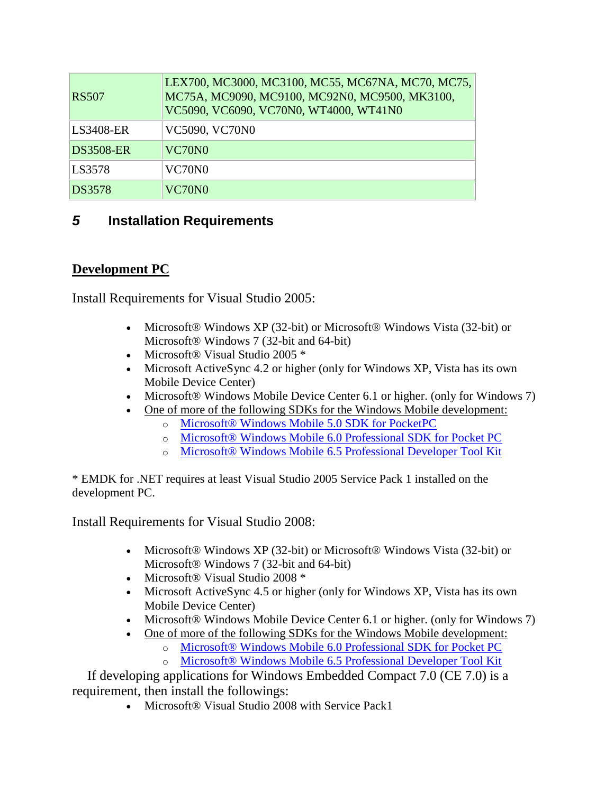| <b>RS507</b>     | LEX700, MC3000, MC3100, MC55, MC67NA, MC70, MC75,<br>MC75A, MC9090, MC9100, MC92N0, MC9500, MK3100,<br>VC5090, VC6090, VC70N0, WT4000, WT41N0 |
|------------------|-----------------------------------------------------------------------------------------------------------------------------------------------|
| <b>LS3408-ER</b> | VC5090, VC70N0                                                                                                                                |
| <b>DS3508-ER</b> | VC70N0                                                                                                                                        |
| LS3578           | VC70N0                                                                                                                                        |
| <b>DS3578</b>    | VC70N0                                                                                                                                        |

# *5* **Installation Requirements**

# **Development PC**

Install Requirements for Visual Studio 2005:

- Microsoft® Windows XP (32-bit) or Microsoft® Windows Vista (32-bit) or Microsoft® Windows 7 (32-bit and 64-bit)
- Microsoft® Visual Studio 2005 \*
- Microsoft ActiveSync 4.2 or higher (only for Windows XP, Vista has its own Mobile Device Center)
- Microsoft® Windows Mobile Device Center 6.1 or higher. (only for Windows 7)
	- [One of more of the following SDKs for the Windows Mobile development:](http://www.microsoft.com/downloads/details.aspx?FamilyID=83A52AF2-F524-4EC5-9155-717CBE5D25ED&displaylang=en)
		- o [Microsoft® Windows Mobile 5.0 SDK for](http://www.microsoft.com/downloads/details.aspx?FamilyID=83A52AF2-F524-4EC5-9155-717CBE5D25ED&displaylang=en) PocketPC
		- o Microsoft® [Windows Mobile 6.0 Professional SDK for Pocket PC](http://www.microsoft.com/downloads/details.aspx?familyid=06111A3A-A651-4745-88EF-3D48091A390B&displaylang=en)
		- o [Microsoft® Windows Mobile 6.5 Professional Developer Tool Kit](http://www.microsoft.com/downloads/details.aspx?FamilyID=20686a1d-97a8-4f80-bc6a-ae010e085a6e&displaylang=en)

\* EMDK for .NET requires at least Visual Studio 2005 Service Pack 1 installed on the development PC.

Install Requirements for Visual Studio 2008:

- Microsoft® Windows XP (32-bit) or Microsoft® Windows Vista (32-bit) or Microsoft® Windows 7 (32-bit and 64-bit)
- Microsoft® Visual Studio 2008 \*
- Microsoft ActiveSync 4.5 or higher (only for Windows XP, Vista has its own Mobile Device Center)
- Microsoft® Windows Mobile Device Center 6.1 or higher. (only for Windows 7)
- [One of more of the following SDKs for the Windows Mobile development:](http://www.microsoft.com/downloads/details.aspx?FamilyID=83A52AF2-F524-4EC5-9155-717CBE5D25ED&displaylang=en)
	- o [Microsoft® Windows Mobile 6.0 Professional SDK for Pocket PC](http://www.microsoft.com/downloads/details.aspx?familyid=06111A3A-A651-4745-88EF-3D48091A390B&displaylang=en)
	- o [Microsoft® Windows Mobile 6.5 Professional Developer Tool Kit](http://www.microsoft.com/downloads/details.aspx?FamilyID=20686a1d-97a8-4f80-bc6a-ae010e085a6e&displaylang=en)

 If developing applications for Windows Embedded Compact 7.0 (CE 7.0) is a requirement, then install the followings:

• Microsoft<sup>®</sup> Visual Studio 2008 with Service Pack1